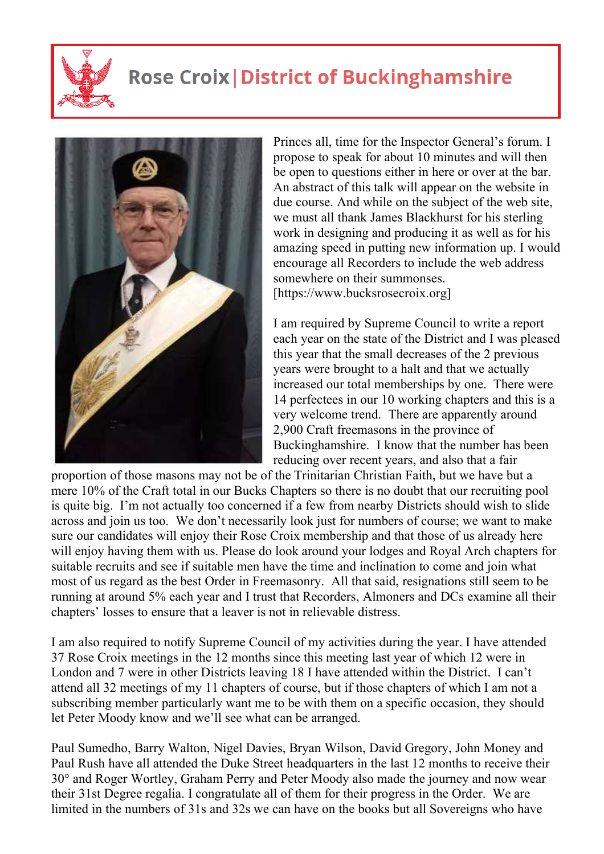

## **Rose Croix | District of Buckinghamshire**



Princes all, time for the Inspector General's forum. I propose to speak for about 10 minutes and will then be open to questions either in here or over at the bar. An abstract of this talk will appear on the website in due course. And while on the subject of the web site, we must all thank James Blackhurst for his sterling work in designing and producing it as well as for his amazing speed in putting new information up. I would encourage all Recorders to include the web address somewhere on their summonses. [https://www.bucksrosecroix.org]

I am required by Supreme Council to write a report each year on the state of the District and I was pleased this year that the small decreases of the 2 previous years were brought to a halt and that we actually increased our total memberships by one. There were 14 perfectees in our 10 working chapters and this is a very welcome trend. There are apparently around 2,900 Craft freemasons in the province of Buckinghamshire. I know that the number has been reducing over recent years, and also that a fair

proportion of those masons may not be of the Trinitarian Christian Faith, but we have but a mere 10% of the Craft total in our Bucks Chapters so there is no doubt that our recruiting pool is quite big. I'm not actually too concerned if a few from nearby Districts should wish to slide across and join us too. We don't necessarily look just for numbers of course; we want to make sure our candidates will enjoy their Rose Croix membership and that those of us already here will enjoy having them with us. Please do look around your lodges and Royal Arch chapters for suitable recruits and see if suitable men have the time and inclination to come and join what most of us regard as the best Order in Freemasonry. All that said, resignations still seem to be running at around 5% each year and I trust that Recorders, Almoners and DCs examine all their chapters' losses to ensure that a leaver is not in relievable distress.

I am also required to notify Supreme Council of my activities during the year. I have attended 37 Rose Croix meetings in the 12 months since this meeting last year of which 12 were in London and 7 were in other Districts leaving 18 I have attended within the District. I can't attend all 32 meetings of my 11 chapters of course, but if those chapters of which I am not a subscribing member particularly want me to be with them on a specific occasion, they should let Peter Moody know and we'll see what can be arranged.

Paul Sumedho, Barry Walton, Nigel Davies, Bryan Wilson, David Gregory, John Money and Paul Rush have all attended the Duke Street headquarters in the last 12 months to receive their 30° and Roger Wortley, Graham Perry and Peter Moody also made the journey and now wear their 31st Degree regalia. I congratulate all of them for their progress in the Order. We are limited in the numbers of 31s and 32s we can have on the books but all Sovereigns who have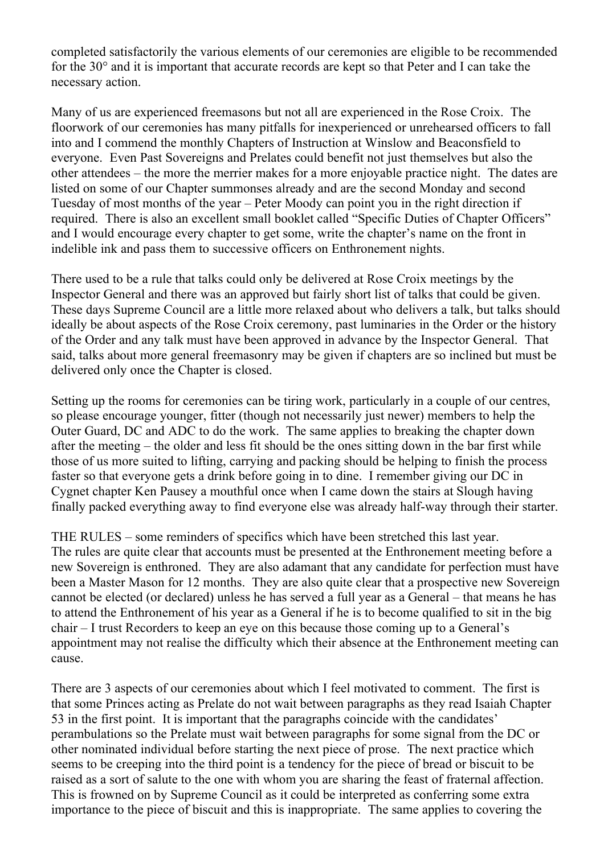completed satisfactorily the various elements of our ceremonies are eligible to be recommended for the 30° and it is important that accurate records are kept so that Peter and I can take the necessary action.

Many of us are experienced freemasons but not all are experienced in the Rose Croix. The floorwork of our ceremonies has many pitfalls for inexperienced or unrehearsed officers to fall into and I commend the monthly Chapters of Instruction at Winslow and Beaconsfield to everyone. Even Past Sovereigns and Prelates could benefit not just themselves but also the other attendees – the more the merrier makes for a more enjoyable practice night. The dates are listed on some of our Chapter summonses already and are the second Monday and second Tuesday of most months of the year – Peter Moody can point you in the right direction if required. There is also an excellent small booklet called "Specific Duties of Chapter Officers" and I would encourage every chapter to get some, write the chapter's name on the front in indelible ink and pass them to successive officers on Enthronement nights.

There used to be a rule that talks could only be delivered at Rose Croix meetings by the Inspector General and there was an approved but fairly short list of talks that could be given. These days Supreme Council are a little more relaxed about who delivers a talk, but talks should ideally be about aspects of the Rose Croix ceremony, past luminaries in the Order or the history of the Order and any talk must have been approved in advance by the Inspector General. That said, talks about more general freemasonry may be given if chapters are so inclined but must be delivered only once the Chapter is closed.

Setting up the rooms for ceremonies can be tiring work, particularly in a couple of our centres, so please encourage younger, fitter (though not necessarily just newer) members to help the Outer Guard, DC and ADC to do the work. The same applies to breaking the chapter down after the meeting – the older and less fit should be the ones sitting down in the bar first while those of us more suited to lifting, carrying and packing should be helping to finish the process faster so that everyone gets a drink before going in to dine. I remember giving our DC in Cygnet chapter Ken Pausey a mouthful once when I came down the stairs at Slough having finally packed everything away to find everyone else was already half-way through their starter.

THE RULES – some reminders of specifics which have been stretched this last year. The rules are quite clear that accounts must be presented at the Enthronement meeting before a new Sovereign is enthroned. They are also adamant that any candidate for perfection must have been a Master Mason for 12 months. They are also quite clear that a prospective new Sovereign cannot be elected (or declared) unless he has served a full year as a General – that means he has to attend the Enthronement of his year as a General if he is to become qualified to sit in the big chair – I trust Recorders to keep an eye on this because those coming up to a General's appointment may not realise the difficulty which their absence at the Enthronement meeting can cause.

There are 3 aspects of our ceremonies about which I feel motivated to comment. The first is that some Princes acting as Prelate do not wait between paragraphs as they read Isaiah Chapter 53 in the first point. It is important that the paragraphs coincide with the candidates' perambulations so the Prelate must wait between paragraphs for some signal from the DC or other nominated individual before starting the next piece of prose. The next practice which seems to be creeping into the third point is a tendency for the piece of bread or biscuit to be raised as a sort of salute to the one with whom you are sharing the feast of fraternal affection. This is frowned on by Supreme Council as it could be interpreted as conferring some extra importance to the piece of biscuit and this is inappropriate. The same applies to covering the